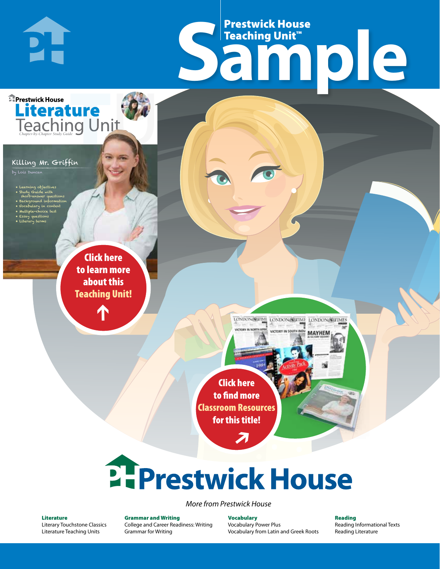# Frestwick House<br>
Sample Prestwick House Teaching Unit™

LONDON-SCITME LONDON/SCITME LONDON/SCITMES

**MAYHEM** 

**Prestwick House** Literature

#### Killing Mr. Griffin

**PH** 

by Lois Duncan

- Learning objectives
- Study Guide with short-answer questions
- Background information • Vocabulary in context
- Multiple-choice test

CHARLES DICKENS

- Essay questions
- **A Tale of Two Cities** • Literary terms

r e o r d e r n o . x x x x x x Click here to learn more about this [Teaching Unit!](https://www.prestwickhouse.com/pdf/id-201463/Killing_Mr__Griffin_-_Downloadable_Teaching_Unit)

 $\mathbf{T}$ 

1

Click here to find more [Classroom Resources](http://teaching-english.prestwickhouse.com/search#w=killing%20mr%20griffin?)  for this title!

 $\overline{\boldsymbol{\lambda}}$ 

# 2. Prestwick House

#### *More from Prestwick House*

#### Literature

[Literary Touchstone Classics](https://www.prestwickhouse.com/literary-touchstone-classics) [Literature Teaching Units](https://www.prestwickhouse.com/teaching-units)

Grammar and Writing [College and Career Readiness: Writing](https://www.prestwickhouse.com/college-and-career-readiness-writing) [Grammar for Writing](https://www.prestwickhouse.com/book/id-302639/Grammar_for_Writing_-_30_Books_and_Teachers_Edition)

**Vocabulary** [Vocabulary Power Plus](https://www.prestwickhouse.com/vocabulary-power-plus-for-college-and-career-readiness) [Vocabulary from Latin and Greek Roots](https://www.prestwickhouse.com/vocabulary-from-latin-and-greek-roots) Reading

[Reading Informational Texts](https://www.prestwickhouse.com/reading-informational-texts) [Reading Literature](https://www.prestwickhouse.com/reading-literature)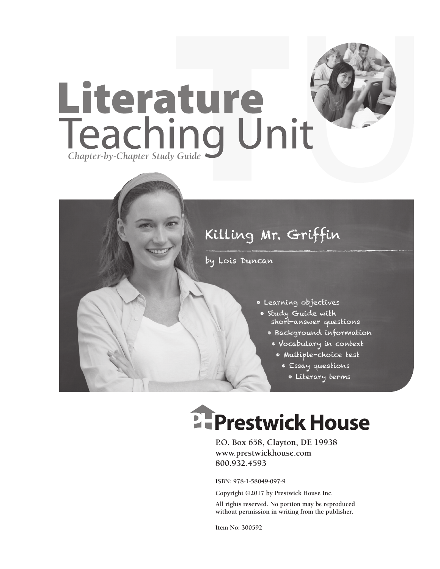

## Killing Mr. Griffin

by Lois Duncan

- Learning objectives
	- Study Guide with short-answer questions
		- Background information
		- Vocabulary in context
			- Multiple-choice test
				- Essay questions
				- Literary terms

# **EFPrestwick House**

**P.O. Box 658, Clayton, DE 19938 www.prestwickhouse.com 800.932.4593**

**ISBN: 978-1-58049-097-9**

**Copyright ©2017 by Prestwick House Inc.**

**All rights reserved. No portion may be reproduced without permission in writing from the publisher.** 

**Item No: 300592**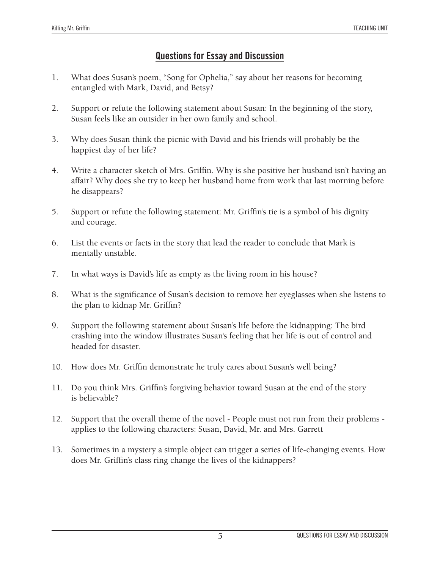#### **Questions for Essay and Discussion**

- 1. What does Susan's poem, "Song for Ophelia," say about her reasons for becoming entangled with Mark, David, and Betsy?
- 2. Support or refute the following statement about Susan: In the beginning of the story, Susan feels like an outsider in her own family and school.
- 3. Why does Susan think the picnic with David and his friends will probably be the happiest day of her life?
- 4. Write a character sketch of Mrs. Griffin. Why is she positive her husband isn't having an affair? Why does she try to keep her husband home from work that last morning before he disappears?
- 5. Support or refute the following statement: Mr. Griffin's tie is a symbol of his dignity and courage.
- 6. List the events or facts in the story that lead the reader to conclude that Mark is mentally unstable.
- 7. In what ways is David's life as empty as the living room in his house?
- 8. What is the significance of Susan's decision to remove her eyeglasses when she listens to the plan to kidnap Mr. Griffin?
- 9. Support the following statement about Susan's life before the kidnapping: The bird crashing into the window illustrates Susan's feeling that her life is out of control and headed for disaster.
- 10. How does Mr. Griffin demonstrate he truly cares about Susan's well being?
- 11. Do you think Mrs. Griffin's forgiving behavior toward Susan at the end of the story is believable?
- 12. Support that the overall theme of the novel People must not run from their problems applies to the following characters: Susan, David, Mr. and Mrs. Garrett
- 13. Sometimes in a mystery a simple object can trigger a series of life-changing events. How does Mr. Griffin's class ring change the lives of the kidnappers?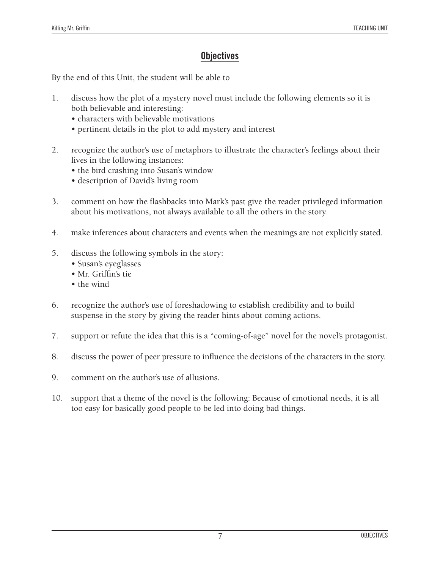#### **Objectives**

By the end of this Unit, the student will be able to

- 1. discuss how the plot of a mystery novel must include the following elements so it is both believable and interesting:
	- characters with believable motivations
	- pertinent details in the plot to add mystery and interest
- 2. recognize the author's use of metaphors to illustrate the character's feelings about their lives in the following instances:
	- the bird crashing into Susan's window
	- description of David's living room
- 3. comment on how the flashbacks into Mark's past give the reader privileged information about his motivations, not always available to all the others in the story.
- 4. make inferences about characters and events when the meanings are not explicitly stated.
- 5. discuss the following symbols in the story:
	- Susan's eyeglasses
	- Mr. Griffin's tie
	- the wind
- 6. recognize the author's use of foreshadowing to establish credibility and to build suspense in the story by giving the reader hints about coming actions.
- 7. support or refute the idea that this is a "coming-of-age" novel for the novel's protagonist.
- 8. discuss the power of peer pressure to influence the decisions of the characters in the story.
- 9. comment on the author's use of allusions.
- 10. support that a theme of the novel is the following: Because of emotional needs, it is all too easy for basically good people to be led into doing bad things.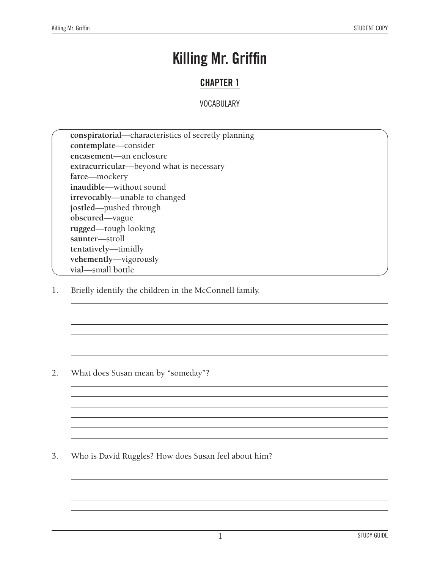### **Killing Mr. Griffin**

#### **CHAPTER 1**

#### **VOCABULARY**

**conspiratorial**—characteristics of secretly planning **contemplate**—consider **encasement**—an enclosure **extracurricular**—beyond what is necessary **farce**—mockery **inaudible**—without sound **irrevocably**—unable to changed **jostled**—pushed through **obscured**—vague **rugged**—rough looking **saunter**—stroll **tentatively**—timidly **vehemently**—vigorously **vial**—small bottle

1. Briefly identify the children in the McConnell family.

2. What does Susan mean by "someday"?

3. Who is David Ruggles? How does Susan feel about him?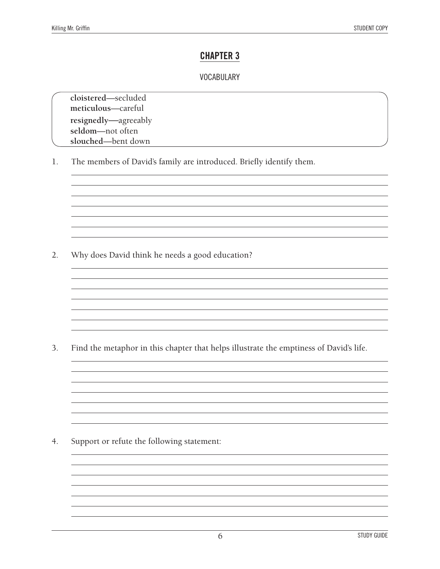#### **CHAPTER 3**

#### **VOCABULARY**

**cloistered**—secluded **meticulous**—careful **resignedly**—agreeably **seldom**—not often **slouched**—bent down

1. The members of David's family are introduced. Briefly identify them.

2. Why does David think he needs a good education?

3. Find the metaphor in this chapter that helps illustrate the emptiness of David's life.

<u> 1980 - Johann Barn, fransk politik (f. 1980)</u>

<u> 1989 - Johann Barn, amerikansk politiker (</u>

4. Support or refute the following statement: